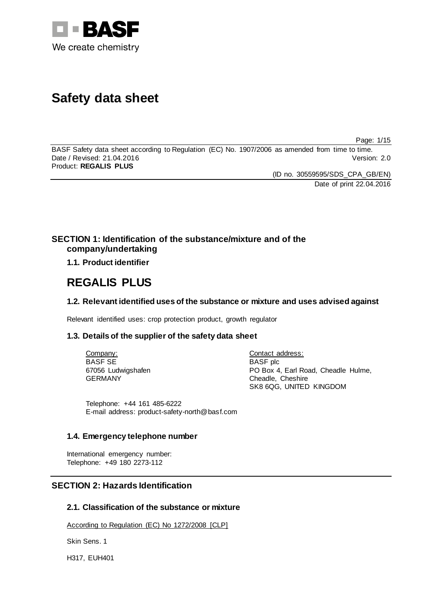

# **Safety data sheet**

Page: 1/15

BASF Safety data sheet according to Regulation (EC) No. 1907/2006 as amended from time to time. Date / Revised: 21.04.2016 Version: 2.0 Product: **REGALIS PLUS**

(ID no. 30559595/SDS\_CPA\_GB/EN)

Date of print 22.04.2016

# **SECTION 1: Identification of the substance/mixture and of the company/undertaking**

# **1.1. Product identifier**

# **REGALIS PLUS**

# **1.2. Relevant identified uses of the substance or mixture and uses advised against**

Relevant identified uses: crop protection product, growth regulator

# **1.3. Details of the supplier of the safety data sheet**

Company: BASF SE 67056 Ludwigshafen GERMANY

Contact address: BASF plc PO Box 4, Earl Road, Cheadle Hulme, Cheadle, Cheshire SK8 6QG, UNITED KINGDOM

Telephone: +44 161 485-6222 E-mail address: product-safety-north@basf.com

# **1.4. Emergency telephone number**

International emergency number: Telephone: +49 180 2273-112

# **SECTION 2: Hazards Identification**

# **2.1. Classification of the substance or mixture**

According to Regulation (EC) No 1272/2008 [CLP]

Skin Sens. 1

H317, EUH401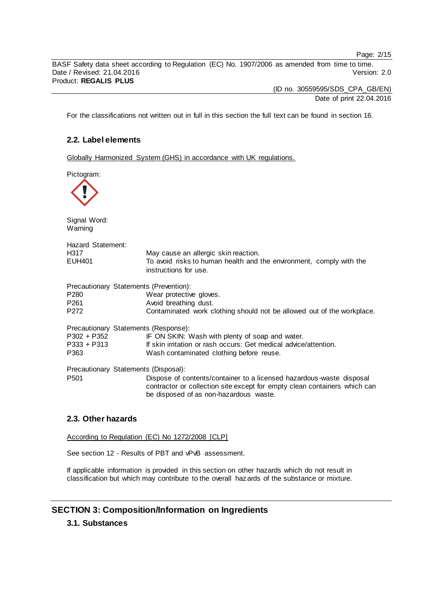Page: 2/15

BASF Safety data sheet according to Regulation (EC) No. 1907/2006 as amended from time to time. Date / Revised: 21.04.2016 Product: **REGALIS PLUS**

(ID no. 30559595/SDS\_CPA\_GB/EN)

Date of print 22.04.2016

For the classifications not written out in full in this section the full text can be found in section 16.

# **2.2. Label elements**

Globally Harmonized System (GHS) in accordance with UK regulations.

Pictogram:

| Pictogram:                                                                   |                                                                                                                                                                                             |
|------------------------------------------------------------------------------|---------------------------------------------------------------------------------------------------------------------------------------------------------------------------------------------|
| Signal Word:<br>Warning                                                      |                                                                                                                                                                                             |
| Hazard Statement:<br>H317<br>EUH401                                          | May cause an allergic skin reaction.<br>To avoid risks to human health and the environment, comply with the<br>instructions for use.                                                        |
| Precautionary Statements (Prevention):<br>P280<br>P <sub>261</sub><br>P272   | Wear protective gloves.<br>Avoid breathing dust.<br>Contaminated work clothing should not be allowed out of the workplace.                                                                  |
| Precautionary Statements (Response):<br>P302 + P352<br>$P333 + P313$<br>P363 | IF ON SKIN: Wash with plenty of soap and water.<br>If skin irritation or rash occurs: Get medical advice/attention.<br>Wash contaminated clothing before reuse.                             |
| Precautionary Statements (Disposal):<br>P <sub>501</sub>                     | Dispose of contents/container to a licensed hazardous-waste disposal<br>contractor or collection site except for empty clean containers which can<br>be disposed of as non-hazardous waste. |

# **2.3. Other hazards**

According to Regulation (EC) No 1272/2008 [CLP]

See section 12 - Results of PBT and vPvB assessment.

If applicable information is provided in this section on other hazards which do not result in classification but which may contribute to the overall hazards of the substance or mixture.

# **SECTION 3: Composition/Information on Ingredients**

# **3.1. Substances**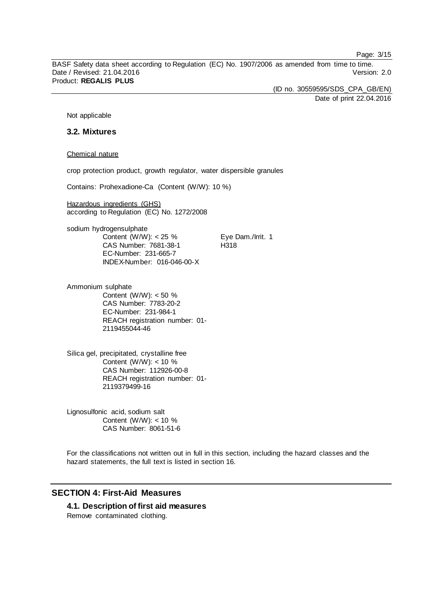Page: 3/15

BASF Safety data sheet according to Regulation (EC) No. 1907/2006 as amended from time to time. Date / Revised: 21.04.2016 Version: 2.0 Product: **REGALIS PLUS**

> (ID no. 30559595/SDS\_CPA\_GB/EN) Date of print 22.04.2016

Not applicable

### **3.2. Mixtures**

Chemical nature

crop protection product, growth regulator, water dispersible granules

Contains: Prohexadione-Ca (Content (W/W): 10 %)

Hazardous ingredients (GHS) according to Regulation (EC) No. 1272/2008

sodium hydrogensulphate Content (W/W):  $< 25 \%$ CAS Number: 7681-38-1 EC-Number: 231-665-7 INDEX-Number: 016-046-00-X

Eye Dam./Irrit. 1 H318

Ammonium sulphate Content (W/W): < 50 % CAS Number: 7783-20-2 EC-Number: 231-984-1 REACH registration number: 01- 2119455044-46

Silica gel, precipitated, crystalline free Content (W/W): < 10 % CAS Number: 112926-00-8 REACH registration number: 01- 2119379499-16

Lignosulfonic acid, sodium salt Content (W/W):  $<$  10 % CAS Number: 8061-51-6

For the classifications not written out in full in this section, including the hazard classes and the hazard statements, the full text is listed in section 16.

# **SECTION 4: First-Aid Measures**

**4.1. Description of first aid measures** Remove contaminated clothing.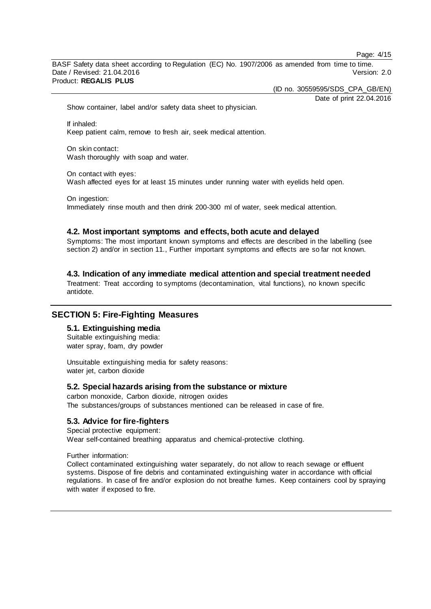Page: 4/15

BASF Safety data sheet according to Regulation (EC) No. 1907/2006 as amended from time to time. Date / Revised: 21.04.2016 Version: 2.0 Product: **REGALIS PLUS**

(ID no. 30559595/SDS\_CPA\_GB/EN)

Date of print 22.04.2016

Show container, label and/or safety data sheet to physician.

If inhaled: Keep patient calm, remove to fresh air, seek medical attention.

On skin contact: Wash thoroughly with soap and water.

On contact with eyes: Wash affected eyes for at least 15 minutes under running water with eyelids held open.

On ingestion: Immediately rinse mouth and then drink 200-300 ml of water, seek medical attention.

#### **4.2. Most important symptoms and effects, both acute and delayed**

Symptoms: The most important known symptoms and effects are described in the labelling (see section 2) and/or in section 11., Further important symptoms and effects are so far not known.

**4.3. Indication of any immediate medical attention and special treatment needed**

Treatment: Treat according to symptoms (decontamination, vital functions), no known specific antidote.

# **SECTION 5: Fire-Fighting Measures**

# **5.1. Extinguishing media**

Suitable extinguishing media: water spray, foam, dry powder

Unsuitable extinguishing media for safety reasons: water jet, carbon dioxide

#### **5.2. Special hazards arising from the substance or mixture**

carbon monoxide, Carbon dioxide, nitrogen oxides The substances/groups of substances mentioned can be released in case of fire.

# **5.3. Advice for fire-fighters**

Special protective equipment: Wear self-contained breathing apparatus and chemical-protective clothing.

Further information:

Collect contaminated extinguishing water separately, do not allow to reach sewage or effluent systems. Dispose of fire debris and contaminated extinguishing water in accordance with official regulations. In case of fire and/or explosion do not breathe fumes. Keep containers cool by spraying with water if exposed to fire.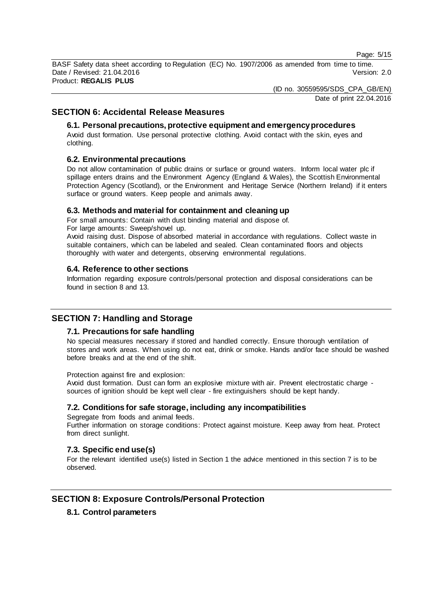Page: 5/15

BASF Safety data sheet according to Regulation (EC) No. 1907/2006 as amended from time to time. Date / Revised: 21.04.2016 Version: 2.0 Product: **REGALIS PLUS**

(ID no. 30559595/SDS\_CPA\_GB/EN)

Date of print 22.04.2016

# **SECTION 6: Accidental Release Measures**

### **6.1. Personal precautions, protective equipment and emergency procedures**

Avoid dust formation. Use personal protective clothing. Avoid contact with the skin, eyes and clothing.

### **6.2. Environmental precautions**

Do not allow contamination of public drains or surface or ground waters. Inform local water plc if spillage enters drains and the Environment Agency (England & Wales), the Scottish Environmental Protection Agency (Scotland), or the Environment and Heritage Service (Northern Ireland) if it enters surface or ground waters. Keep people and animals away.

### **6.3. Methods and material for containment and cleaning up**

For small amounts: Contain with dust binding material and dispose of. For large amounts: Sweep/shovel up.

Avoid raising dust. Dispose of absorbed material in accordance with regulations. Collect waste in suitable containers, which can be labeled and sealed. Clean contaminated floors and objects thoroughly with water and detergents, observing environmental regulations.

### **6.4. Reference to other sections**

Information regarding exposure controls/personal protection and disposal considerations can be found in section 8 and 13.

# **SECTION 7: Handling and Storage**

# **7.1. Precautions for safe handling**

No special measures necessary if stored and handled correctly. Ensure thorough ventilation of stores and work areas. When using do not eat, drink or smoke. Hands and/or face should be washed before breaks and at the end of the shift.

Protection against fire and explosion:

Avoid dust formation. Dust can form an explosive mixture with air. Prevent electrostatic charge sources of ignition should be kept well clear - fire extinguishers should be kept handy.

# **7.2. Conditions for safe storage, including any incompatibilities**

Segregate from foods and animal feeds. Further information on storage conditions: Protect against moisture. Keep away from heat. Protect from direct sunlight.

# **7.3. Specific end use(s)**

For the relevant identified use(s) listed in Section 1 the advice mentioned in this section 7 is to be observed.

# **SECTION 8: Exposure Controls/Personal Protection**

# **8.1. Control parameters**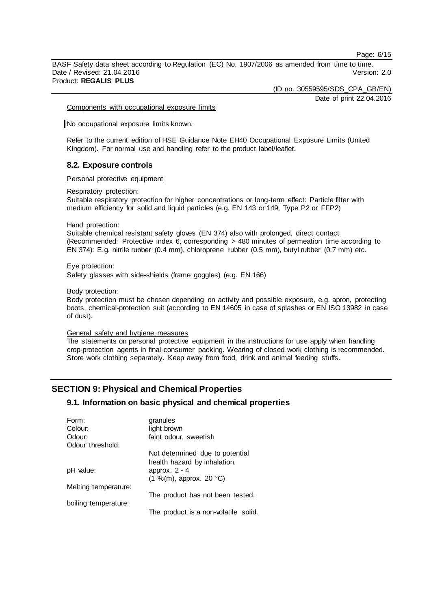Page: 6/15

BASF Safety data sheet according to Regulation (EC) No. 1907/2006 as amended from time to time. Date / Revised: 21.04.2016 Product: **REGALIS PLUS**

(ID no. 30559595/SDS\_CPA\_GB/EN)

Date of print 22.04.2016

Components with occupational exposure limits

No occupational exposure limits known.

Refer to the current edition of HSE Guidance Note EH40 Occupational Exposure Limits (United Kingdom). For normal use and handling refer to the product label/leaflet.

#### **8.2. Exposure controls**

Personal protective equipment

Respiratory protection:

Suitable respiratory protection for higher concentrations or long-term effect: Particle filter with medium efficiency for solid and liquid particles (e.g. EN 143 or 149, Type P2 or FFP2)

Hand protection:

Suitable chemical resistant safety gloves (EN 374) also with prolonged, direct contact (Recommended: Protective index 6, corresponding > 480 minutes of permeation time according to EN 374): E.g. nitrile rubber (0.4 mm), chloroprene rubber (0.5 mm), butyl rubber (0.7 mm) etc.

Eye protection: Safety glasses with side-shields (frame goggles) (e.g. EN 166)

Body protection:

Body protection must be chosen depending on activity and possible exposure, e.g. apron, protecting boots, chemical-protection suit (according to EN 14605 in case of splashes or EN ISO 13982 in case of dust).

#### General safety and hygiene measures

The statements on personal protective equipment in the instructions for use apply when handling crop-protection agents in final-consumer packing. Wearing of closed work clothing is recommended. Store work clothing separately. Keep away from food, drink and animal feeding stuffs.

# **SECTION 9: Physical and Chemical Properties**

# **9.1. Information on basic physical and chemical properties**

| Form:                | granules                             |
|----------------------|--------------------------------------|
| Colour:              | light brown                          |
| Odour:               | faint odour, sweetish                |
| Odour threshold:     |                                      |
|                      | Not determined due to potential      |
|                      | health hazard by inhalation.         |
| pH value:            | approx. $2 - 4$                      |
|                      | $(1 \frac{9}{10})$ , approx. 20 °C)  |
| Melting temperature: |                                      |
|                      | The product has not been tested.     |
| boiling temperature: |                                      |
|                      | The product is a non-volatile solid. |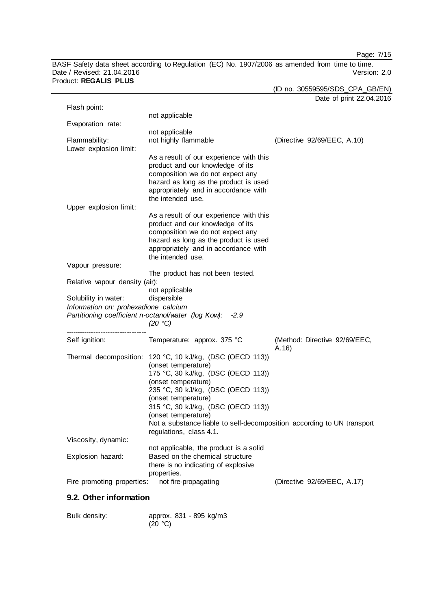Page: 7/15

BASF Safety data sheet according to Regulation (EC) No. 1907/2006 as amended from time to time. Date / Revised: 21.04.2016 Version: 2.0 Product: **REGALIS PLUS**

| (ID no. 30559595/SDS_CPA_GB/EN) |
|---------------------------------|
| Date of print 22.04.2016        |

| Flash point:                         |                                                                        |                               |
|--------------------------------------|------------------------------------------------------------------------|-------------------------------|
|                                      | not applicable                                                         |                               |
| Evaporation rate:                    |                                                                        |                               |
|                                      | not applicable                                                         |                               |
| Flammability:                        | not highly flammable                                                   | (Directive 92/69/EEC, A.10)   |
|                                      |                                                                        |                               |
| Lower explosion limit:               |                                                                        |                               |
|                                      | As a result of our experience with this                                |                               |
|                                      | product and our knowledge of its                                       |                               |
|                                      | composition we do not expect any                                       |                               |
|                                      | hazard as long as the product is used                                  |                               |
|                                      | appropriately and in accordance with                                   |                               |
|                                      |                                                                        |                               |
|                                      | the intended use.                                                      |                               |
| Upper explosion limit:               |                                                                        |                               |
|                                      | As a result of our experience with this                                |                               |
|                                      | product and our knowledge of its                                       |                               |
|                                      | composition we do not expect any                                       |                               |
|                                      | hazard as long as the product is used                                  |                               |
|                                      | appropriately and in accordance with                                   |                               |
|                                      |                                                                        |                               |
|                                      | the intended use.                                                      |                               |
| Vapour pressure:                     |                                                                        |                               |
|                                      | The product has not been tested.                                       |                               |
| Relative vapour density (air):       |                                                                        |                               |
|                                      | not applicable                                                         |                               |
| Solubility in water:                 | dispersible                                                            |                               |
|                                      |                                                                        |                               |
|                                      |                                                                        |                               |
| Information on: prohexadione calcium |                                                                        |                               |
|                                      | Partitioning coefficient n-octanol/water (log Kow):<br>$-2.9$          |                               |
|                                      | (20 °C)                                                                |                               |
|                                      |                                                                        |                               |
| Self ignition:                       | Temperature: approx. 375 °C                                            | (Method: Directive 92/69/EEC, |
|                                      |                                                                        | A.16                          |
|                                      | Thermal decomposition: 120 °C, 10 kJ/kg, (DSC (OECD 113))              |                               |
|                                      |                                                                        |                               |
|                                      | (onset temperature)                                                    |                               |
|                                      | 175 °C, 30 kJ/kg, (DSC (OECD 113))                                     |                               |
|                                      | (onset temperature)                                                    |                               |
|                                      | 235 °C, 30 kJ/kg, (DSC (OECD 113))                                     |                               |
|                                      | (onset temperature)                                                    |                               |
|                                      | 315 °C, 30 kJ/kg, (DSC (OECD 113))                                     |                               |
|                                      | (onset temperature)                                                    |                               |
|                                      | Not a substance liable to self-decomposition according to UN transport |                               |
|                                      |                                                                        |                               |
|                                      | regulations, class 4.1.                                                |                               |
| Viscosity, dynamic:                  |                                                                        |                               |
|                                      | not applicable, the product is a solid                                 |                               |
| Explosion hazard:                    | Based on the chemical structure                                        |                               |
|                                      | there is no indicating of explosive                                    |                               |
|                                      | properties.                                                            |                               |
| Fire promoting properties:           | not fire-propagating                                                   | (Directive 92/69/EEC, A.17)   |

# **9.2. Other information**

| Bulk density: | approx. 831 - 895 kg/m3 |
|---------------|-------------------------|
|               | (20 °C)                 |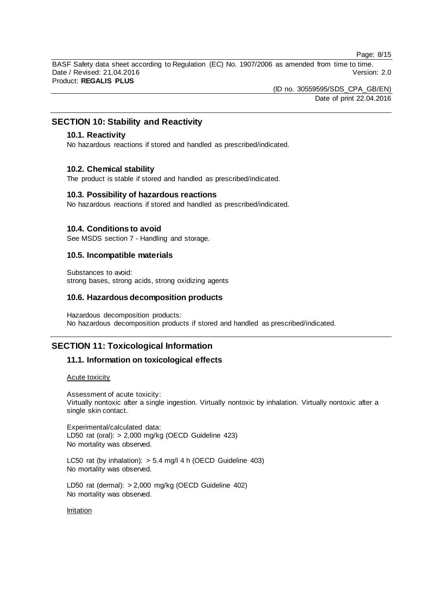Page: 8/15

BASF Safety data sheet according to Regulation (EC) No. 1907/2006 as amended from time to time. Date / Revised: 21.04.2016 Version: 2.0 Product: **REGALIS PLUS**

> (ID no. 30559595/SDS\_CPA\_GB/EN) Date of print 22.04.2016

# **SECTION 10: Stability and Reactivity**

### **10.1. Reactivity**

No hazardous reactions if stored and handled as prescribed/indicated.

#### **10.2. Chemical stability**

The product is stable if stored and handled as prescribed/indicated.

### **10.3. Possibility of hazardous reactions**

No hazardous reactions if stored and handled as prescribed/indicated.

#### **10.4. Conditions to avoid**

See MSDS section 7 - Handling and storage.

### **10.5. Incompatible materials**

Substances to avoid: strong bases, strong acids, strong oxidizing agents

### **10.6. Hazardous decomposition products**

Hazardous decomposition products: No hazardous decomposition products if stored and handled as prescribed/indicated.

# **SECTION 11: Toxicological Information**

### **11.1. Information on toxicological effects**

### Acute toxicity

Assessment of acute toxicity: Virtually nontoxic after a single ingestion. Virtually nontoxic by inhalation. Virtually nontoxic after a single skin contact.

Experimental/calculated data: LD50 rat (oral): > 2,000 mg/kg (OECD Guideline 423) No mortality was observed.

LC50 rat (by inhalation): > 5.4 mg/l 4 h (OECD Guideline 403) No mortality was observed.

LD50 rat (dermal): > 2,000 mg/kg (OECD Guideline 402) No mortality was observed.

Irritation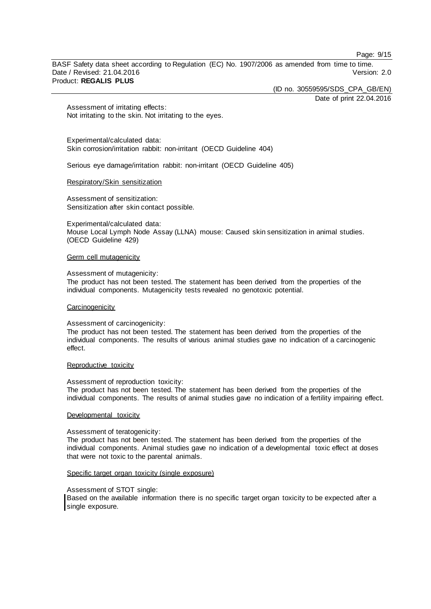Page: 9/15

BASF Safety data sheet according to Regulation (EC) No. 1907/2006 as amended from time to time. Date / Revised: 21.04.2016 Product: **REGALIS PLUS**

> (ID no. 30559595/SDS\_CPA\_GB/EN) Date of print 22.04.2016

Assessment of irritating effects: Not irritating to the skin. Not irritating to the eyes.

Experimental/calculated data: Skin corrosion/irritation rabbit: non-irritant (OECD Guideline 404)

Serious eye damage/irritation rabbit: non-irritant (OECD Guideline 405)

#### Respiratory/Skin sensitization

Assessment of sensitization: Sensitization after skin contact possible.

Experimental/calculated data: Mouse Local Lymph Node Assay (LLNA) mouse: Caused skin sensitization in animal studies. (OECD Guideline 429)

#### Germ cell mutagenicity

#### Assessment of mutagenicity:

The product has not been tested. The statement has been derived from the properties of the individual components. Mutagenicity tests revealed no genotoxic potential.

#### **Carcinogenicity**

#### Assessment of carcinogenicity:

The product has not been tested. The statement has been derived from the properties of the individual components. The results of various animal studies gave no indication of a carcinogenic effect.

#### Reproductive toxicity

#### Assessment of reproduction toxicity:

The product has not been tested. The statement has been derived from the properties of the individual components. The results of animal studies gave no indication of a fertility impairing effect.

#### Developmental toxicity

#### Assessment of teratogenicity:

The product has not been tested. The statement has been derived from the properties of the individual components. Animal studies gave no indication of a developmental toxic effect at doses that were not toxic to the parental animals.

#### Specific target organ toxicity (single exposure)

#### Assessment of STOT single:

Based on the available information there is no specific target organ toxicity to be expected after a single exposure.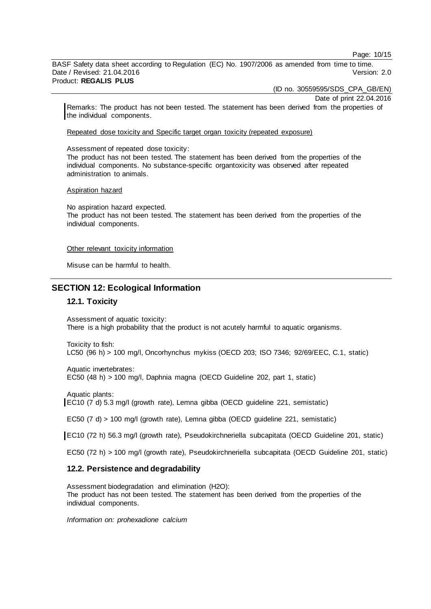Page: 10/15

BASF Safety data sheet according to Regulation (EC) No. 1907/2006 as amended from time to time. Date / Revised: 21.04.2016 Version: 2.0 Product: **REGALIS PLUS**

(ID no. 30559595/SDS\_CPA\_GB/EN)

Date of print 22.04.2016

Remarks: The product has not been tested. The statement has been derived from the properties of the individual components.

Repeated dose toxicity and Specific target organ toxicity (repeated exposure)

Assessment of repeated dose toxicity:

The product has not been tested. The statement has been derived from the properties of the individual components. No substance-specific organtoxicity was observed after repeated administration to animals.

#### Aspiration hazard

No aspiration hazard expected. The product has not been tested. The statement has been derived from the properties of the individual components.

#### Other relevant toxicity information

Misuse can be harmful to health.

# **SECTION 12: Ecological Information**

### **12.1. Toxicity**

Assessment of aquatic toxicity: There is a high probability that the product is not acutely harmful to aquatic organisms.

Toxicity to fish: LC50 (96 h) > 100 mg/l, Oncorhynchus mykiss (OECD 203; ISO 7346; 92/69/EEC, C.1, static)

Aquatic invertebrates: EC50 (48 h) > 100 mg/l, Daphnia magna (OECD Guideline 202, part 1, static)

Aquatic plants: EC10 (7 d) 5.3 mg/l (growth rate), Lemna gibba (OECD guideline 221, semistatic)

EC50 (7 d) > 100 mg/l (growth rate), Lemna gibba (OECD guideline 221, semistatic)

EC10 (72 h) 56.3 mg/l (growth rate), Pseudokirchneriella subcapitata (OECD Guideline 201, static)

EC50 (72 h) > 100 mg/l (growth rate), Pseudokirchneriella subcapitata (OECD Guideline 201, static)

#### **12.2. Persistence and degradability**

Assessment biodegradation and elimination (H2O): The product has not been tested. The statement has been derived from the properties of the individual components.

*Information on: prohexadione calcium*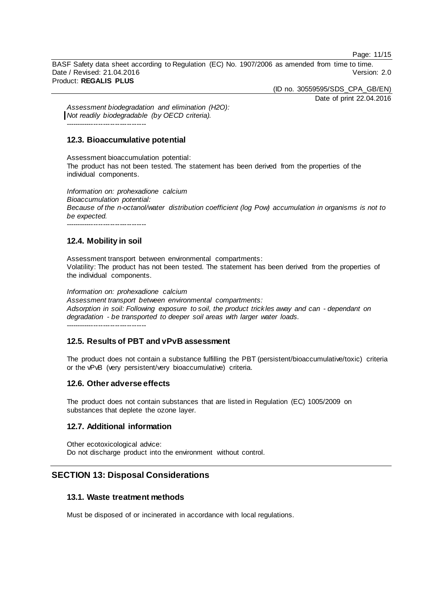Page: 11/15

BASF Safety data sheet according to Regulation (EC) No. 1907/2006 as amended from time to time. Date / Revised: 21.04.2016 Version: 2.0 Product: **REGALIS PLUS**

(ID no. 30559595/SDS\_CPA\_GB/EN)

Date of print 22.04.2016

*Assessment biodegradation and elimination (H2O): Not readily biodegradable (by OECD criteria).*

# **12.3. Bioaccumulative potential**

Assessment bioaccumulation potential: The product has not been tested. The statement has been derived from the properties of the individual components.

*Information on: prohexadione calcium Bioaccumulation potential: Because of the n-octanol/water distribution coefficient (log Pow) accumulation in organisms is not to be expected.* -----------------------------

# **12.4. Mobility in soil**

Assessment transport between environmental compartments: Volatility: The product has not been tested. The statement has been derived from the properties of the individual components.

*Information on: prohexadione calcium Assessment transport between environmental compartments: Adsorption in soil: Following exposure to soil, the product trickles away and can - dependant on degradation - be transported to deeper soil areas with larger water loads.*

-----------------------------

# **12.5. Results of PBT and vPvB assessment**

The product does not contain a substance fulfilling the PBT (persistent/bioaccumulative/toxic) criteria or the vPvB (very persistent/very bioaccumulative) criteria.

# **12.6. Other adverse effects**

The product does not contain substances that are listed in Regulation (EC) 1005/2009 on substances that deplete the ozone layer.

# **12.7. Additional information**

Other ecotoxicological advice: Do not discharge product into the environment without control.

# **SECTION 13: Disposal Considerations**

# **13.1. Waste treatment methods**

Must be disposed of or incinerated in accordance with local regulations.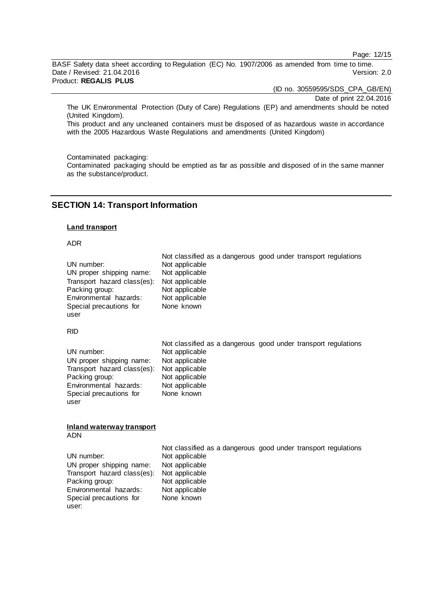Page: 12/15

BASF Safety data sheet according to Regulation (EC) No. 1907/2006 as amended from time to time. Date / Revised: 21.04.2016 Product: **REGALIS PLUS**

(ID no. 30559595/SDS\_CPA\_GB/EN)

Date of print 22.04.2016

The UK Environmental Protection (Duty of Care) Regulations (EP) and amendments should be noted (United Kingdom).

This product and any uncleaned containers must be disposed of as hazardous waste in accordance with the 2005 Hazardous Waste Regulations and amendments (United Kingdom)

Contaminated packaging:

Contaminated packaging should be emptied as far as possible and disposed of in the same manner as the substance/product.

# **SECTION 14: Transport Information**

#### **Land transport**

#### ADR

|                             |                | Not classified as a dangerous good under transport regulations |
|-----------------------------|----------------|----------------------------------------------------------------|
| UN number:                  | Not applicable |                                                                |
| UN proper shipping name:    | Not applicable |                                                                |
| Transport hazard class(es): | Not applicable |                                                                |
| Packing group:              | Not applicable |                                                                |
| Environmental hazards:      | Not applicable |                                                                |
| Special precautions for     | None known     |                                                                |
| user                        |                |                                                                |

RID

|                                            |                | Not classified as a dangerous good under transport regulations |
|--------------------------------------------|----------------|----------------------------------------------------------------|
| UN number:                                 | Not applicable |                                                                |
| UN proper shipping name:                   | Not applicable |                                                                |
| Transport hazard class(es): Not applicable |                |                                                                |
| Packing group:                             | Not applicable |                                                                |
| Environmental hazards:                     | Not applicable |                                                                |
| Special precautions for                    | None known     |                                                                |
| user                                       |                |                                                                |

#### **Inland waterway transport** ADN

|                                            |                | Not classified as a dangerous good under transport regulations |
|--------------------------------------------|----------------|----------------------------------------------------------------|
| UN number:                                 | Not applicable |                                                                |
| UN proper shipping name:                   | Not applicable |                                                                |
| Transport hazard class(es): Not applicable |                |                                                                |
| Packing group:                             | Not applicable |                                                                |
| Environmental hazards:                     | Not applicable |                                                                |
| Special precautions for                    | None known     |                                                                |
| user:                                      |                |                                                                |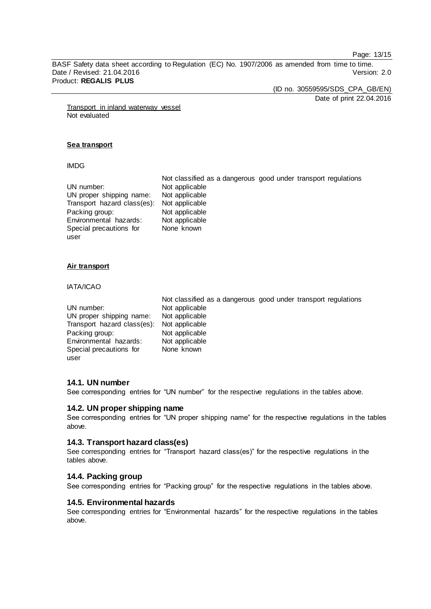Page: 13/15

BASF Safety data sheet according to Regulation (EC) No. 1907/2006 as amended from time to time. Date / Revised: 21.04.2016 Product: **REGALIS PLUS**

(ID no. 30559595/SDS\_CPA\_GB/EN)

Date of print 22.04.2016

Transport in inland waterway vessel Not evaluated

#### **Sea transport**

#### IMDG

|                                            |                | Not classified as a dangerous good under transport regulations |
|--------------------------------------------|----------------|----------------------------------------------------------------|
| UN number:                                 | Not applicable |                                                                |
| UN proper shipping name:                   | Not applicable |                                                                |
| Transport hazard class(es): Not applicable |                |                                                                |
| Packing group:                             | Not applicable |                                                                |
| Environmental hazards:                     | Not applicable |                                                                |
| Special precautions for                    | None known     |                                                                |
| user                                       |                |                                                                |

#### **Air transport**

#### IATA/ICAO

|                             | Not classified as a dangerous good under transport regulations |  |
|-----------------------------|----------------------------------------------------------------|--|
| UN number:                  | Not applicable                                                 |  |
| UN proper shipping name:    | Not applicable                                                 |  |
| Transport hazard class(es): | Not applicable                                                 |  |
| Packing group:              | Not applicable                                                 |  |
| Environmental hazards:      | Not applicable                                                 |  |
| Special precautions for     | None known                                                     |  |
| user                        |                                                                |  |

# **14.1. UN number**

See corresponding entries for "UN number" for the respective regulations in the tables above.

### **14.2. UN proper shipping name**

See corresponding entries for "UN proper shipping name" for the respective regulations in the tables above.

# **14.3. Transport hazard class(es)**

See corresponding entries for "Transport hazard class(es)" for the respective regulations in the tables above.

### **14.4. Packing group**

See corresponding entries for "Packing group" for the respective regulations in the tables above.

# **14.5. Environmental hazards**

See corresponding entries for "Environmental hazards" for the respective regulations in the tables above.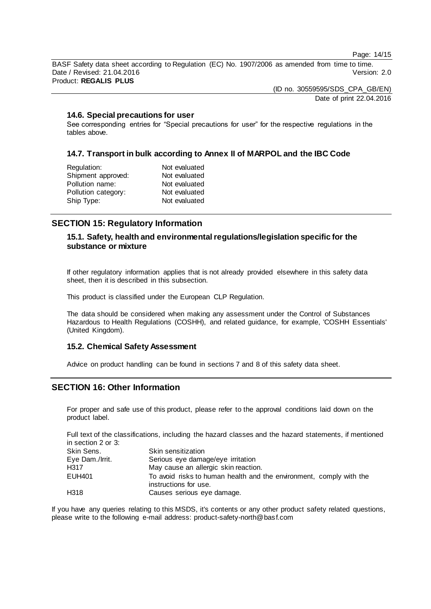Page: 14/15

BASF Safety data sheet according to Regulation (EC) No. 1907/2006 as amended from time to time. Date / Revised: 21.04.2016 Version: 2.0 Product: **REGALIS PLUS**

> (ID no. 30559595/SDS\_CPA\_GB/EN) Date of print 22.04.2016

### **14.6. Special precautions for user**

See corresponding entries for "Special precautions for user" for the respective regulations in the tables above.

### **14.7. Transport in bulk according to Annex II of MARPOL and the IBC Code**

| Not evaluated |
|---------------|
| Not evaluated |
| Not evaluated |
| Not evaluated |
| Not evaluated |
|               |

# **SECTION 15: Regulatory Information**

# **15.1. Safety, health and environmental regulations/legislation specific for the substance or mixture**

If other regulatory information applies that is not already provided elsewhere in this safety data sheet, then it is described in this subsection.

This product is classified under the European CLP Regulation.

The data should be considered when making any assessment under the Control of Substances Hazardous to Health Regulations (COSHH), and related guidance, for example, 'COSHH Essentials' (United Kingdom).

#### **15.2. Chemical Safety Assessment**

Advice on product handling can be found in sections 7 and 8 of this safety data sheet.

# **SECTION 16: Other Information**

For proper and safe use of this product, please refer to the approval conditions laid down on the product label.

Full text of the classifications, including the hazard classes and the hazard statements, if mentioned in section 2 or 3:

| Skin Sens.      | Skin sensitization                                                                           |
|-----------------|----------------------------------------------------------------------------------------------|
| Eye Dam./Irrit. | Serious eye damage/eye irritation                                                            |
| H317            | May cause an allergic skin reaction.                                                         |
| EUH401          | To avoid risks to human health and the environment, comply with the<br>instructions for use. |
| H318            | Causes serious eye damage.                                                                   |

If you have any queries relating to this MSDS, it's contents or any other product safety related questions, please write to the following e-mail address: product-safety-north@basf.com